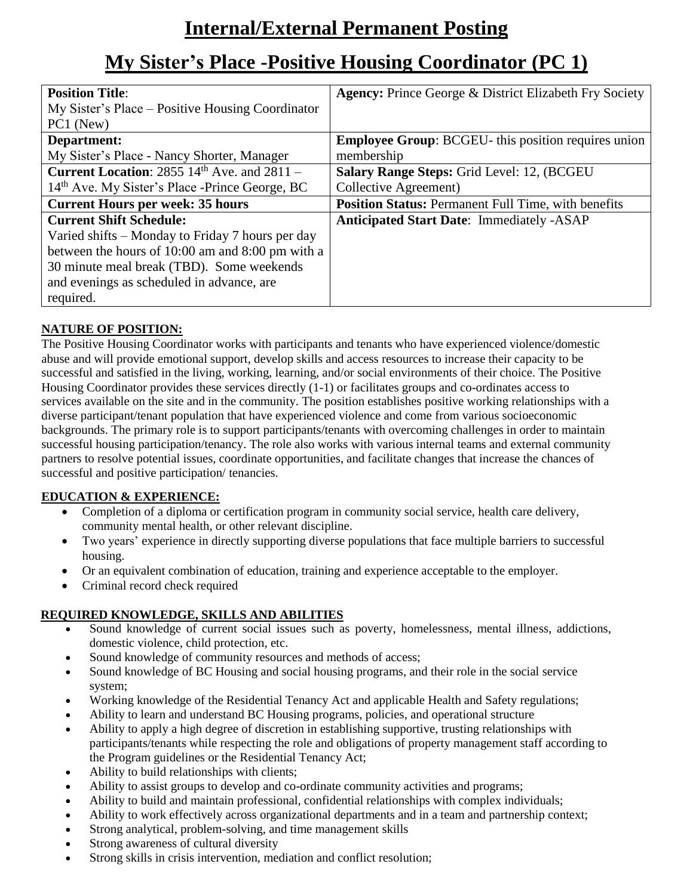# **Internal/External Permanent Posting**

## **My Sister's Place -Positive Housing Coordinator (PC 1)**

| <b>Position Title:</b>                                     | <b>Agency: Prince George &amp; District Elizabeth Fry Society</b> |
|------------------------------------------------------------|-------------------------------------------------------------------|
| My Sister's Place – Positive Housing Coordinator           |                                                                   |
| PC1 (New)                                                  |                                                                   |
| Department:                                                | <b>Employee Group: BCGEU-</b> this position requires union        |
| My Sister's Place - Nancy Shorter, Manager                 | membership                                                        |
| <b>Current Location:</b> $2855$ $14th$ Ave. and $2811 -$   | Salary Range Steps: Grid Level: 12, (BCGEU                        |
| 14 <sup>th</sup> Ave. My Sister's Place -Prince George, BC | Collective Agreement)                                             |
| <b>Current Hours per week: 35 hours</b>                    | <b>Position Status: Permanent Full Time, with benefits</b>        |
| <b>Current Shift Schedule:</b>                             | <b>Anticipated Start Date: Immediately -ASAP</b>                  |
| Varied shifts – Monday to Friday 7 hours per day           |                                                                   |
| between the hours of 10:00 am and 8:00 pm with a           |                                                                   |
| 30 minute meal break (TBD). Some weekends                  |                                                                   |
| and evenings as scheduled in advance, are                  |                                                                   |
| required.                                                  |                                                                   |

### **NATURE OF POSITION:**

The Positive Housing Coordinator works with participants and tenants who have experienced violence/domestic abuse and will provide emotional support, develop skills and access resources to increase their capacity to be successful and satisfied in the living, working, learning, and/or social environments of their choice. The Positive Housing Coordinator provides these services directly (1-1) or facilitates groups and co-ordinates access to services available on the site and in the community. The position establishes positive working relationships with a diverse participant/tenant population that have experienced violence and come from various socioeconomic backgrounds. The primary role is to support participants/tenants with overcoming challenges in order to maintain successful housing participation/tenancy. The role also works with various internal teams and external community partners to resolve potential issues, coordinate opportunities, and facilitate changes that increase the chances of successful and positive participation/ tenancies.

#### **EDUCATION & EXPERIENCE:**

- Completion of a diploma or certification program in community social service, health care delivery, community mental health, or other relevant discipline.
- Two years' experience in directly supporting diverse populations that face multiple barriers to successful housing.
- Or an equivalent combination of education, training and experience acceptable to the employer.
- Criminal record check required

#### **REQUIRED KNOWLEDGE, SKILLS AND ABILITIES**

- Sound knowledge of current social issues such as poverty, homelessness, mental illness, addictions, domestic violence, child protection, etc.
- Sound knowledge of community resources and methods of access;
- Sound knowledge of BC Housing and social housing programs, and their role in the social service system;
- Working knowledge of the Residential Tenancy Act and applicable Health and Safety regulations;
- Ability to learn and understand BC Housing programs, policies, and operational structure
- Ability to apply a high degree of discretion in establishing supportive, trusting relationships with participants/tenants while respecting the role and obligations of property management staff according to the Program guidelines or the Residential Tenancy Act;
- Ability to build relationships with clients;
- Ability to assist groups to develop and co-ordinate community activities and programs;
- Ability to build and maintain professional, confidential relationships with complex individuals;
- Ability to work effectively across organizational departments and in a team and partnership context;
- Strong analytical, problem-solving, and time management skills
- Strong awareness of cultural diversity
- Strong skills in crisis intervention, mediation and conflict resolution;